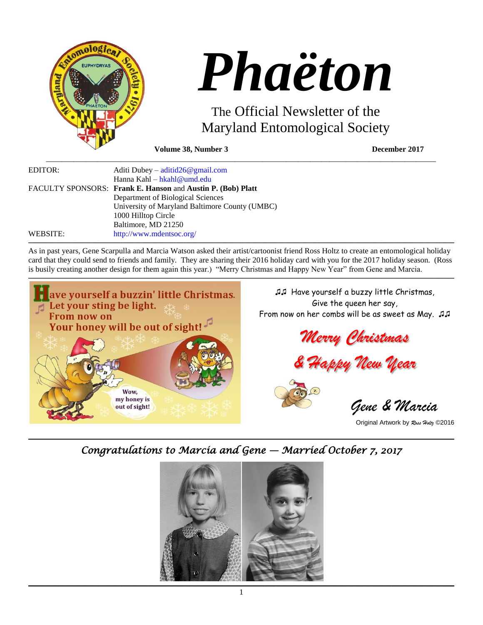



# The Official Newsletter of the Maryland Entomological Society

**Volume 38, Number 3 December 2017**

| EDITOR:  | Aditi Dubey – $\text{adiid}26@ \text{gmail.com}$            |
|----------|-------------------------------------------------------------|
|          | Hanna Kahl – hkahl@umd.edu                                  |
|          | FACULTY SPONSORS: Frank E. Hanson and Austin P. (Bob) Platt |
|          | Department of Biological Sciences                           |
|          | University of Maryland Baltimore County (UMBC)              |
|          | 1000 Hilltop Circle                                         |
|          | Baltimore, MD 21250                                         |
| WEBSITE: | http://www.mdentsoc.org/                                    |

As in past years, Gene Scarpulla and Marcia Watson asked their artist/cartoonist friend Ross Holtz to create an entomological holiday card that they could send to friends and family. They are sharing their 2016 holiday card with you for the 2017 holiday season. (Ross is busily creating another design for them again this year.) "Merry Christmas and Happy New Year" from Gene and Marcia.

**\_\_\_\_\_\_\_\_\_\_\_\_\_\_\_\_\_\_\_\_\_\_\_\_\_\_\_\_\_\_\_\_\_\_\_\_\_\_\_\_\_\_\_\_\_\_\_\_\_\_\_\_\_\_\_\_\_\_\_\_\_\_\_\_\_\_\_\_\_\_\_\_\_\_\_\_\_\_\_\_\_\_\_\_\_\_\_\_\_\_\_\_\_\_\_\_\_\_\_\_\_\_\_\_\_\_\_\_\_\_\_\_\_\_\_\_\_\_\_\_\_\_\_\_\_\_\_\_\_\_\_\_\_\_\_\_\_\_\_\_\_\_\_\_\_\_\_\_\_\_\_\_\_\_\_\_\_\_\_\_\_\_\_\_\_\_\_\_\_\_\_\_\_\_\_\_\_\_\_\_\_\_\_\_\_\_\_\_\_\_\_\_\_\_\_\_\_\_\_\_\_\_\_\_\_\_\_\_\_\_\_\_\_\_\_\_\_\_\_\_\_\_\_\_\_\_\_\_\_\_\_\_\_\_\_\_\_\_\_\_\_\_\_\_\_\_\_\_\_\_\_\_\_\_\_\_\_\_\_\_\_\_\_\_\_\_\_\_\_\_\_\_\_\_\_\_\_\_\_\_\_\_\_\_\_\_\_\_\_\_\_\_\_\_\_\_\_\_\_\_\_\_\_\_\_\_\_\_\_\_\_\_\_\_\_\_\_\_\_\_\_\_\_\_\_\_\_\_\_\_\_\_\_\_\_\_\_\_\_\_\_\_\_\_\_\_\_\_\_\_\_\_\_\_\_\_\_\_\_\_**

,我们就会不能让我们的事情。""我们的,我们就会不能让我们的事情。""我们的,我们就会不能让我们的事情。""我们的,我们就会不能让我们的事情。""我们的,我们就



♫♫ Have yourself a buzzy little Christmas, Give the queen her say, From now on her combs will be as sweet as May. ♫♫

*Merry Christmas*

*& Happy New Year*



 *Gene & Marcia*

Original Artwork by *Ross Holtz* ©2016

,我们就会不能让我们的事情。""我们的,我们就会不能让我们的事情。""我们的,我们就会不能让我们的事情。""我们的,我们就会不能让我们的事情。""我们的,我们就 *Congratulations to Marcia and Gene — Married October 7, 2017* 

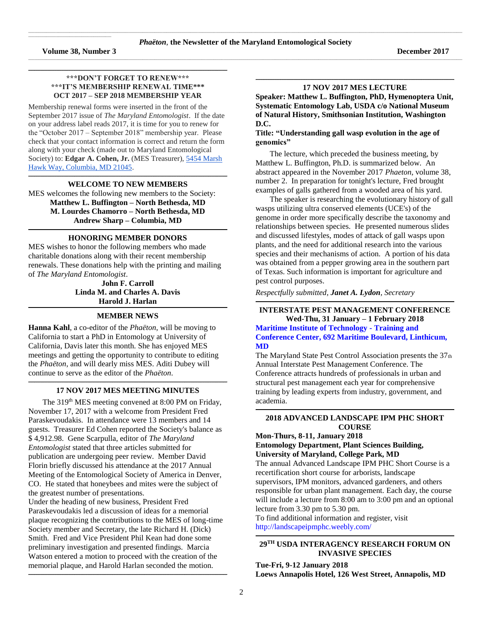$\mathcal{L}_\text{max}$  and  $\mathcal{L}_\text{max}$  and  $\mathcal{L}_\text{max}$  are the set of the set of the set of the set of the set of the set of the set of the set of the set of the set of the set of the set of the set of the set of the set of th

## **\*\*\*DON'T FORGET TO RENEW\*\*\* \*\*\*IT'S MEMBERSHIP RENEWAL TIME\*\*\* OCT 2017 – SEP 2018 MEMBERSHIP YEAR**

**\_\_\_\_\_\_\_\_\_\_\_\_\_\_\_\_\_\_\_\_\_\_\_\_\_\_\_\_\_\_\_\_\_\_\_\_\_\_\_\_\_\_\_\_\_\_\_\_\_\_\_\_\_\_\_\_\_\_\_\_\_\_\_\_\_\_\_\_\_\_\_\_\_\_\_\_\_\_\_\_\_\_\_\_\_\_\_\_\_\_\_\_\_\_\_\_\_\_\_\_\_\_\_\_\_\_\_\_\_\_\_\_\_\_\_\_\_\_\_\_\_\_\_\_\_\_\_\_\_\_\_\_\_\_\_\_\_\_\_\_\_\_\_\_\_\_\_\_\_\_\_\_\_\_\_\_\_\_\_\_\_\_\_\_\_\_\_\_**

Membership renewal forms were inserted in the front of the September 2017 issue of *The Maryland Entomologist*. If the date on your address label reads 2017, it is time for you to renew for the "October 2017 – September 2018" membership year. Please check that your contact information is correct and return the form along with your check (made out to Maryland Entomological Society) to: **Edgar A. Cohen, Jr.** (MES Treasurer), [5454 Marsh](https://maps.google.com/?q=5454+Marsh+Hawk+Way,+Columbia,+MD+21045&entry=gmail&source=g)  [Hawk Way, Columbia, MD 21045.](https://maps.google.com/?q=5454+Marsh+Hawk+Way,+Columbia,+MD+21045&entry=gmail&source=g)

#### **\_\_\_\_\_\_\_\_\_\_\_\_\_\_\_\_\_\_\_\_\_\_\_\_\_\_\_\_\_\_\_\_\_\_\_\_\_\_\_\_\_\_\_\_\_\_\_\_\_\_\_\_\_\_\_\_\_\_\_\_\_\_\_\_\_\_\_\_\_\_\_\_\_\_\_\_\_\_\_\_\_\_\_\_\_\_\_\_\_\_\_\_\_\_\_\_\_\_\_\_\_\_\_\_\_\_\_\_\_\_\_\_\_\_\_\_\_\_\_\_\_\_\_\_\_\_\_\_\_\_\_\_\_\_\_\_\_\_\_\_\_\_\_\_\_\_\_\_\_\_\_\_\_\_\_\_\_\_\_\_\_\_\_\_\_\_\_\_ WELCOME TO NEW MEMBERS**

MES welcomes the following new members to the Society: **Matthew L. Buffington – North Bethesda, MD M. Lourdes Chamorro – North Bethesda, MD Andrew Sharp – Columbia, MD**

#### **\_\_\_\_\_\_\_\_\_\_\_\_\_\_\_\_\_\_\_\_\_\_\_\_\_\_\_\_\_\_\_\_\_\_\_\_\_\_\_\_\_\_\_\_\_\_\_\_\_\_\_\_\_\_\_\_\_\_\_\_\_\_\_\_\_\_\_\_\_\_\_\_\_\_\_\_\_\_\_\_\_\_\_\_\_\_\_\_\_\_\_\_\_\_\_\_\_\_\_\_\_\_\_\_\_\_\_\_\_\_\_\_\_\_\_\_\_\_\_\_\_\_\_\_\_\_\_\_\_\_\_\_\_\_\_\_\_\_\_\_\_\_\_\_\_\_\_\_\_\_\_\_\_\_\_\_\_\_\_\_\_\_\_\_\_\_\_\_ HONORING MEMBER DONORS**

MES wishes to honor the following members who made charitable donations along with their recent membership renewals. These donations help with the printing and mailing of *The Maryland Entomologist*.

**John F. Carroll Linda M. and Charles A. Davis Harold J. Harlan \_\_\_\_\_\_\_\_\_\_\_\_\_\_\_\_\_\_\_\_\_\_\_\_\_\_\_\_\_\_\_\_\_\_\_\_\_\_\_\_\_\_\_\_\_\_\_\_\_\_\_\_\_\_\_\_\_\_\_\_\_\_\_\_\_\_\_\_\_\_\_\_\_\_\_\_\_\_\_\_\_\_\_\_\_\_\_\_\_\_\_\_\_\_\_\_\_\_\_\_\_\_\_\_\_\_\_\_\_\_\_\_\_\_\_\_\_\_\_\_\_\_\_\_\_\_\_\_\_\_\_\_\_\_\_\_\_\_\_\_\_\_\_\_\_\_\_\_\_\_\_\_\_\_\_\_\_\_\_\_\_\_\_\_\_\_\_\_**

## **MEMBER NEWS**

**Hanna Kahl**, a co-editor of the *Phaëton*, will be moving to California to start a PhD in Entomology at University of California, Davis later this month. She has enjoyed MES meetings and getting the opportunity to contribute to editing the *Phaëton*, and will dearly miss MES. Aditi Dubey will continue to serve as the editor of the *Phaëton*.

#### **\_\_\_\_\_\_\_\_\_\_\_\_\_\_\_\_\_\_\_\_\_\_\_\_\_\_\_\_\_\_\_\_\_\_\_\_\_\_\_\_\_\_\_\_\_\_\_\_\_\_\_\_\_\_\_\_\_\_\_\_\_\_\_\_\_\_\_\_\_\_\_\_\_\_\_\_\_\_\_\_\_\_\_\_\_\_\_\_\_\_\_\_\_\_\_\_\_\_\_\_\_\_\_\_\_\_\_\_\_\_\_\_\_\_\_\_\_\_\_\_\_\_\_\_\_\_\_\_\_\_\_\_\_\_\_\_\_\_\_\_\_\_\_\_\_\_\_\_\_\_\_\_\_\_\_\_\_\_\_\_\_\_\_\_\_\_\_\_ 17 NOV 2017 MES MEETING MINUTES**

The 319<sup>th</sup> MES meeting convened at 8:00 PM on Friday, November 17, 2017 with a welcome from President Fred Paraskevoudakis. In attendance were 13 members and 14 guests. Treasurer Ed Cohen reported the Society's balance as \$ 4,912.98. Gene Scarpulla, editor of *The Maryland Entomologist* stated that three articles submitted for publication are undergoing peer review. Member David Florin briefly discussed his attendance at the 2017 Annual Meeting of the Entomological Society of America in Denver, CO. He stated that honeybees and mites were the subject of the greatest number of presentations. Under the heading of new business, President Fred Paraskevoudakis led a discussion of ideas for a memorial plaque recognizing the contributions to the MES of long-time Society member and Secretary, the late Richard H. (Dick) Smith. Fred and Vice President Phil Kean had done some preliminary investigation and presented findings. Marcia Watson entered a motion to proceed with the creation of the memorial plaque, and Harold Harlan seconded the motion.

**\_\_\_\_\_\_\_\_\_\_\_\_\_\_\_\_\_\_\_\_\_\_\_\_\_\_\_\_\_\_\_\_\_\_\_\_\_\_\_\_\_\_\_\_\_\_\_\_\_\_\_\_\_\_\_\_\_\_\_\_\_\_\_\_\_\_\_\_\_\_\_\_\_\_\_\_\_\_\_\_\_\_\_\_\_\_\_\_\_\_\_\_\_\_\_\_\_\_\_\_\_\_\_\_\_\_\_\_\_\_\_\_\_\_\_\_\_\_\_\_\_\_\_\_\_\_\_\_\_\_\_\_\_\_\_\_\_\_\_\_\_\_\_\_\_\_\_\_\_\_\_\_\_\_\_\_\_\_\_\_\_\_\_\_\_\_\_\_**

#### **\_\_\_\_\_\_\_\_\_\_\_\_\_\_\_\_\_\_\_\_\_\_\_\_\_\_\_\_\_\_\_\_\_\_\_\_\_\_\_\_\_\_\_\_\_\_\_\_\_\_\_\_\_\_\_\_\_\_\_\_\_\_\_\_\_\_\_\_\_\_\_\_\_\_\_\_\_\_\_\_\_\_\_\_\_\_\_\_\_\_\_\_\_\_\_\_\_\_\_\_\_\_\_\_\_\_\_\_\_\_\_\_\_\_\_\_\_\_\_\_\_\_\_\_\_\_\_\_\_\_\_\_\_\_\_\_\_\_\_\_\_\_\_\_\_\_\_\_\_\_\_\_\_\_\_\_\_\_\_\_\_\_\_\_\_\_\_\_ 17 NOV 2017 MES LECTURE**

**Speaker: Matthew L. Buffington, PhD, Hymenoptera Unit, Systematic Entomology Lab, USDA c/o National Museum of Natural History, Smithsonian Institution, Washington D.C.**

## **Title: "Understanding gall wasp evolution in the age of genomics"**

The lecture, which preceded the business meeting, by Matthew L. Buffington, Ph.D. is summarized below. An abstract appeared in the November 2017 *Phaeton*, volume 38, number 2. In preparation for tonight's lecture, Fred brought examples of galls gathered from a wooded area of his yard.

The speaker is researching the evolutionary history of gall wasps utilizing ultra conserved elements (UCE's) of the genome in order more specifically describe the taxonomy and relationships between species. He presented numerous slides and discussed lifestyles, modes of attack of gall wasps upon plants, and the need for additional research into the various species and their mechanisms of action. A portion of his data was obtained from a pepper growing area in the southern part of Texas. Such information is important for agriculture and pest control purposes.

*Respectfully submitted, Janet A. Lydon, Secretary*

#### **\_\_\_\_\_\_\_\_\_\_\_\_\_\_\_\_\_\_\_\_\_\_\_\_\_\_\_\_\_\_\_\_\_\_\_\_\_\_\_\_\_\_\_\_\_\_\_\_\_\_\_\_\_\_\_\_\_\_\_\_\_\_\_\_\_\_\_\_\_\_\_\_\_\_\_\_\_\_\_\_\_\_\_\_\_\_\_\_\_\_\_\_\_\_\_\_\_\_\_\_\_\_\_\_\_\_\_\_\_\_\_\_\_\_\_\_\_\_\_\_\_\_\_\_\_\_\_\_\_\_\_\_\_\_\_\_\_\_\_\_\_\_\_\_\_\_\_\_\_\_\_\_\_\_\_\_\_\_\_\_\_\_\_\_\_\_\_\_ INTERSTATE PEST MANAGEMENT CONFERENCE**

**Wed-Thu, 31 January – 1 February 2018 Maritime Institute of Technology - Training and Conference Center, 692 Maritime Boulevard, Linthicum, MD**

The Maryland State Pest Control Association presents the 37<sup>th</sup> Annual Interstate Pest Management Conference. The Conference attracts hundreds of professionals in urban and structural pest management each year for comprehensive training by leading experts from industry, government, and academia.

#### **\_\_\_\_\_\_\_\_\_\_\_\_\_\_\_\_\_\_\_\_\_\_\_\_\_\_\_\_\_\_\_\_\_\_\_\_\_\_\_\_\_\_\_\_\_\_\_\_\_\_\_\_\_\_\_\_\_\_\_\_\_\_\_\_\_\_\_\_\_\_\_\_\_\_\_\_\_\_\_\_\_\_\_\_\_\_\_\_\_\_\_\_\_\_\_\_\_\_\_\_\_\_\_\_\_\_\_\_\_\_\_\_\_\_\_\_\_\_\_\_\_\_\_\_\_\_\_\_\_\_\_\_\_\_\_\_\_\_\_\_\_\_\_\_\_\_\_\_\_\_\_\_\_\_\_\_\_\_\_\_\_\_\_\_\_\_\_\_ 2018 ADVANCED LANDSCAPE IPM PHC SHORT COURSE**

## **Mon-Thurs, 8-11, January 2018 Entomology Department, Plant Sciences Building, University of Maryland, College Park, MD**

The annual Advanced Landscape IPM PHC Short Course is a recertification short course for arborists, landscape supervisors, IPM monitors, advanced gardeners, and others responsible for urban plant management. Each day, the course will include a lecture from 8:00 am to 3:00 pm and an optional lecture from 3.30 pm to 5.30 pm.

To find additional information and register, visit <http://landscapeipmphc.weebly.com/>

#### **\_\_\_\_\_\_\_\_\_\_\_\_\_\_\_\_\_\_\_\_\_\_\_\_\_\_\_\_\_\_\_\_\_\_\_\_\_\_\_\_\_\_\_\_\_\_\_\_\_\_\_\_\_\_\_\_\_\_\_\_\_\_\_\_\_\_\_\_\_\_\_\_\_\_\_\_\_\_\_\_\_\_\_\_\_\_\_\_\_\_\_\_\_\_\_\_\_\_\_\_\_\_\_\_\_\_\_\_\_\_\_\_\_\_\_\_\_\_\_\_\_\_\_\_\_\_\_\_\_\_\_\_\_\_\_\_\_\_\_\_\_\_\_\_\_\_\_\_\_\_\_\_\_\_\_\_\_\_\_\_\_\_\_\_\_\_\_\_ 29 TH USDA INTERAGENCY RESEARCH FORUM ON INVASIVE SPECIES**

## **Tue-Fri, 9-12 January 2018**

**Loews Annapolis Hotel, 126 West Street, Annapolis, MD**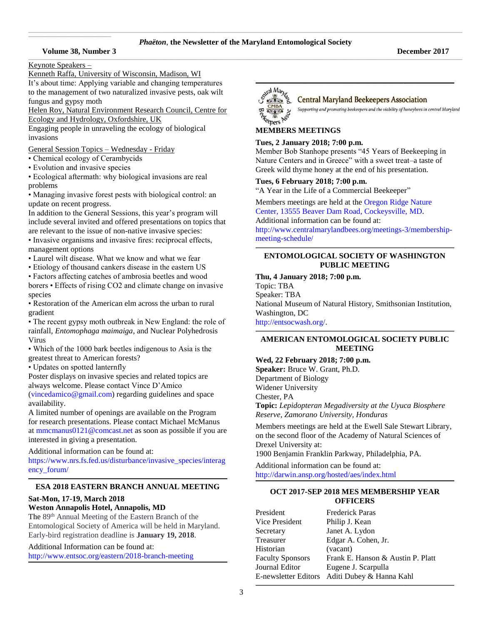## **Volume 38, Number 3 December 2017**

Keynote Speakers –

 $\mathcal{L}_\text{max}$  and  $\mathcal{L}_\text{max}$  and  $\mathcal{L}_\text{max}$  are the set of the set of the set of the set of the set of the set of the set of the set of the set of the set of the set of the set of the set of the set of the set of th

Kenneth Raffa, University of Wisconsin, Madison, WI It's about time: Applying variable and changing temperatures to the management of two naturalized invasive pests, oak wilt fungus and gypsy moth

Helen Roy, Natural Environment Research Council, Centre for Ecology and Hydrology, Oxfordshire, UK

Engaging people in unraveling the ecology of biological invasions

General Session Topics – Wednesday - Friday

- Chemical ecology of Cerambycids
- Evolution and invasive species

• Ecological aftermath: why biological invasions are real problems

• Managing invasive forest pests with biological control: an update on recent progress.

In addition to the General Sessions, this year's program will include several invited and offered presentations on topics that are relevant to the issue of non-native invasive species:

• Invasive organisms and invasive fires: reciprocal effects, management options

• Laurel wilt disease. What we know and what we fear

• Etiology of thousand cankers disease in the eastern US

• Factors affecting catches of ambrosia beetles and wood borers • Effects of rising CO2 and climate change on invasive species

• Restoration of the American elm across the urban to rural gradient

• The recent gypsy moth outbreak in New England: the role of rainfall, *Entomophaga maimaiga*, and Nuclear Polyhedrosis Virus

• Which of the 1000 bark beetles indigenous to Asia is the greatest threat to American forests?

• Updates on spotted lanternfly

Poster displays on invasive species and related topics are always welcome. Please contact Vince D'Amico

[\(vincedamico@gmail.com\)](file:///C:/Users/Hanna/Downloads/vincedamico@gmail.com) regarding guidelines and space availability.

A limited number of openings are available on the Program for research presentations. Please contact Michael McManus a[t mmcmanus0121@comcast.net](file:///C:/Users/Hanna/Downloads/mmcmanus0121@comcast.net) as soon as possible if you are interested in giving a presentation.

Additional information can be found at:

[https://www.nrs.fs.fed.us/disturbance/invasive\\_species/interag](https://www.nrs.fs.fed.us/disturbance/invasive_species/interagency_forum/) [ency\\_forum/](https://www.nrs.fs.fed.us/disturbance/invasive_species/interagency_forum/)

#### **\_\_\_\_\_\_\_\_\_\_\_\_\_\_\_\_\_\_\_\_\_\_\_\_\_\_\_\_\_\_\_\_\_\_\_\_\_\_\_\_\_\_\_\_\_\_\_\_\_\_\_\_\_\_\_\_\_\_\_\_\_\_\_\_\_\_\_\_\_\_\_\_\_\_\_\_\_\_\_\_\_\_\_\_\_\_\_\_\_\_\_\_\_\_\_\_\_\_\_\_\_\_\_\_\_\_\_\_\_\_\_\_\_\_\_\_\_\_\_\_\_\_\_\_\_\_\_\_\_\_\_\_\_\_\_\_\_\_\_\_\_\_\_\_\_\_\_\_\_\_\_\_\_\_\_\_\_\_\_\_\_\_\_\_\_\_\_\_ ESA 2018 EASTERN BRANCH ANNUAL MEETING**

## **Sat-Mon, 17-19, March 2018 Weston Annapolis Hotel, Annapolis, MD**

The 89<sup>th</sup> Annual Meeting of the Eastern Branch of the Entomological Society of America will be held in Maryland. Early-bird registration deadline is **January 19, 2018**.

Additional Information can be found at: <http://www.entsoc.org/eastern/2018-branch-meeting> **\_\_\_\_\_\_\_\_\_\_\_\_\_\_\_\_\_\_\_\_\_\_\_\_\_\_\_\_\_\_\_\_\_\_\_\_\_\_\_\_\_\_\_\_\_\_\_\_\_\_\_\_\_\_\_\_\_\_\_\_\_\_\_\_\_\_\_\_\_\_\_\_\_\_\_\_\_\_\_\_\_\_\_\_\_\_\_\_\_\_\_\_\_\_\_\_\_\_\_\_\_\_\_\_\_\_\_\_\_\_\_\_\_\_\_\_\_\_\_\_\_\_\_\_\_\_\_\_\_\_\_\_\_\_\_\_\_\_\_\_\_\_\_\_\_\_\_\_\_\_\_\_\_\_\_\_\_\_\_\_\_\_\_\_\_\_\_\_**



## **Central Maryland Beekeepers Association**

Supporting and promoting beekeepers and the viability of honeybees in central Maryland

# **MEMBERS MEETINGS**

## **Tues, 2 January 2018; 7:00 p.m.**

Member Bob Stanhope presents "45 Years of Beekeeping in Nature Centers and in Greece" with a sweet treat–a taste of Greek wild thyme honey at the end of his presentation.

# **Tues, 6 February 2018; 7:00 p.m.**

"A Year in the Life of a Commercial Beekeeper"

Members meetings are held at th[e Oregon Ridge Nature](https://www.google.com/maps/place/Oregon+Ridge+Nature+Center/@39.4970222,-76.6868097,15z/data=!4m2!3m1!1s0x0:0x9fbed14b2a0e98dd?sa=X&ved=0ahUKEwjkwILmv6jQAhXs6YMKHVsmDwgQ_BIIdDAK)  [Center, 13555 Beaver Dam Road, Cockeysville,](https://www.google.com/maps/place/Oregon+Ridge+Nature+Center/@39.4970222,-76.6868097,15z/data=!4m2!3m1!1s0x0:0x9fbed14b2a0e98dd?sa=X&ved=0ahUKEwjkwILmv6jQAhXs6YMKHVsmDwgQ_BIIdDAK) MD. Additional information can be found at: [http://www.centralmarylandbees.org/meetings-3/membership-](http://www.centralmarylandbees.org/meetings-3/membership-meeting-schedule/)

[meeting-schedule/](http://www.centralmarylandbees.org/meetings-3/membership-meeting-schedule/)

#### **\_\_\_\_\_\_\_\_\_\_\_\_\_\_\_\_\_\_\_\_\_\_\_\_\_\_\_\_\_\_\_\_\_\_\_\_\_\_\_\_\_\_\_\_\_\_\_\_\_\_\_\_\_\_\_\_\_\_\_\_\_\_\_\_\_\_\_\_\_\_\_\_\_\_\_\_\_\_\_\_\_\_\_\_\_\_\_\_\_\_\_\_\_\_\_\_\_\_\_\_\_\_\_\_\_\_\_\_\_\_\_\_\_\_\_\_\_\_\_\_\_\_\_\_\_\_\_\_\_\_\_\_\_\_\_\_\_\_\_\_\_\_\_\_\_\_\_\_\_\_\_\_\_\_\_\_\_\_\_\_\_\_\_\_\_\_\_\_ ENTOMOLOGICAL SOCIETY OF WASHINGTON PUBLIC MEETING**

## **Thu, 4 January 2018; 7:00 p.m.**

Topic: TBA

Speaker: TBA

National Museum of Natural History, Smithsonian Institution, Washington, DC

[http://entsocwash.org/.](http://entsocwash.org/)

#### **\_\_\_\_\_\_\_\_\_\_\_\_\_\_\_\_\_\_\_\_\_\_\_\_\_\_\_\_\_\_\_\_\_\_\_\_\_\_\_\_\_\_\_\_\_\_\_\_\_\_\_\_\_\_\_\_\_\_\_\_\_\_\_\_\_\_\_\_\_\_\_\_\_\_\_\_\_\_\_\_\_\_\_\_\_\_\_\_\_\_\_\_\_\_\_\_\_\_\_\_\_\_\_\_\_\_\_\_\_\_\_\_\_\_\_\_\_\_\_\_\_\_\_\_\_\_\_\_\_\_\_\_\_\_\_\_\_\_\_\_\_\_\_\_\_\_\_\_\_\_\_\_\_\_\_\_\_\_\_\_\_\_\_\_\_\_\_\_ AMERICAN ENTOMOLOGICAL SOCIETY PUBLIC MEETING**

## **Wed, 22 February 2018; 7:00 p.m.**

**Speaker:** Bruce W. Grant, Ph.D. Department of Biology Widener University Chester, PA **Topic:** *Lepidopteran Megadiversity at the Uyuca Biosphere* 

*Reserve, Zamorano University, Honduras*

Members meetings are held at the Ewell Sale Stewart Library, on the second floor of the Academy of Natural Sciences of Drexel University at:

1900 Benjamin Franklin Parkway, Philadelphia, PA.

Additional information can be found at: http://darwin.ansp.org/hosted/aes/index.html

## **\_\_\_\_\_\_\_\_\_\_\_\_\_\_\_\_\_\_\_\_\_\_\_\_\_\_\_\_\_\_\_\_\_\_\_\_\_\_\_\_\_\_\_\_\_\_\_\_\_\_\_\_\_\_\_\_\_\_\_\_\_\_\_\_\_\_\_\_\_\_\_\_\_\_\_\_\_\_\_\_\_\_\_\_\_\_\_\_\_\_\_\_\_\_\_\_\_\_\_\_\_\_\_\_\_\_\_\_\_\_\_\_\_\_\_\_\_\_\_\_\_\_\_\_\_\_\_\_\_\_\_\_\_\_\_\_\_\_\_\_\_\_\_\_\_\_\_\_\_\_\_\_\_\_\_\_\_\_\_\_\_\_\_\_\_\_\_\_ OCT 2017-SEP 2018 MES MEMBERSHIP YEAR OFFICERS**

| President               | <b>Frederick Paras</b>                        |
|-------------------------|-----------------------------------------------|
| Vice President          | Philip J. Kean                                |
| Secretary               | Janet A. Lydon                                |
| Treasurer               | Edgar A. Cohen, Jr.                           |
| Historian               | (vacant)                                      |
| <b>Faculty Sponsors</b> | Frank E. Hanson & Austin P. Platt             |
| Journal Editor          | Eugene J. Scarpulla                           |
|                         | E-newsletter Editors Aditi Dubey & Hanna Kahl |
|                         |                                               |

**\_\_\_\_\_\_\_\_\_\_\_\_\_\_\_\_\_\_\_\_\_\_\_\_\_\_\_\_\_\_\_\_\_\_\_\_\_\_\_\_\_\_\_\_\_\_\_\_\_\_\_\_\_\_\_\_\_\_\_\_\_\_\_\_\_\_\_\_\_\_\_\_\_\_\_\_\_\_\_\_\_\_\_\_\_\_\_\_\_\_\_\_\_\_\_\_\_\_\_\_\_\_\_\_\_\_\_\_\_\_\_\_\_\_\_\_\_\_\_\_\_\_\_\_\_\_\_\_\_\_\_\_\_\_\_\_\_\_\_\_\_\_\_\_\_\_\_\_\_\_\_\_\_\_\_\_\_\_\_\_\_\_\_\_\_\_\_\_**